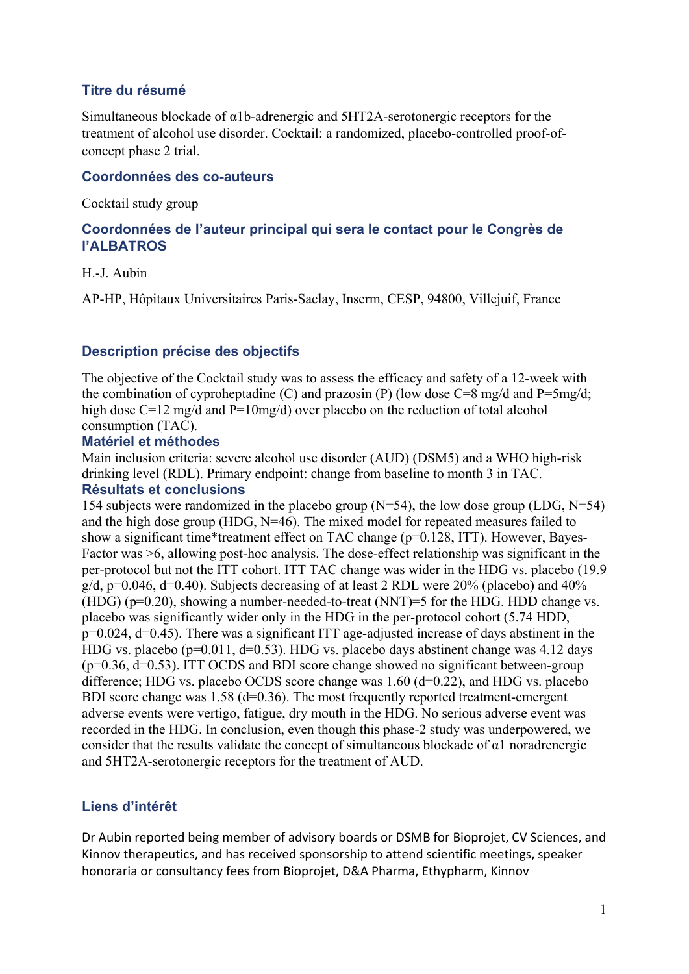## **Titre du résumé**

Simultaneous blockade of α1b-adrenergic and 5HT2A-serotonergic receptors for the treatment of alcohol use disorder. Cocktail: a randomized, placebo-controlled proof-ofconcept phase 2 trial.

#### **Coordonnées des co-auteurs**

Cocktail study group

### **Coordonnées de l'auteur principal qui sera le contact pour le Congrès de l'ALBATROS**

#### H.-J. Aubin

AP-HP, Hôpitaux Universitaires Paris-Saclay, Inserm, CESP, 94800, Villejuif, France

#### **Description précise des objectifs**

The objective of the Cocktail study was to assess the efficacy and safety of a 12-week with the combination of cyproheptadine (C) and prazosin (P) (low dose  $C=8$  mg/d and P=5mg/d; high dose C=12 mg/d and P=10mg/d) over placebo on the reduction of total alcohol consumption (TAC).

#### **Matériel et méthodes**

Main inclusion criteria: severe alcohol use disorder (AUD) (DSM5) and a WHO high-risk drinking level (RDL). Primary endpoint: change from baseline to month 3 in TAC. **Résultats et conclusions**

154 subjects were randomized in the placebo group ( $N=54$ ), the low dose group (LDG,  $N=54$ ) and the high dose group (HDG, N=46). The mixed model for repeated measures failed to show a significant time\*treatment effect on TAC change (p=0.128, ITT). However, Bayes-Factor was  $\geq 6$ , allowing post-hoc analysis. The dose-effect relationship was significant in the per-protocol but not the ITT cohort. ITT TAC change was wider in the HDG vs. placebo (19.9 g/d,  $p=0.046$ ,  $d=0.40$ ). Subjects decreasing of at least 2 RDL were 20% (placebo) and 40% (HDG) ( $p=0.20$ ), showing a number-needed-to-treat (NNT)=5 for the HDG. HDD change vs. placebo was significantly wider only in the HDG in the per-protocol cohort (5.74 HDD, p=0.024, d=0.45). There was a significant ITT age-adjusted increase of days abstinent in the HDG vs. placebo ( $p=0.011$ ,  $d=0.53$ ). HDG vs. placebo days abstinent change was 4.12 days  $(p=0.36, d=0.53)$ . ITT OCDS and BDI score change showed no significant between-group difference; HDG vs. placebo OCDS score change was 1.60 (d=0.22), and HDG vs. placebo BDI score change was  $1.58$  ( $d=0.36$ ). The most frequently reported treatment-emergent adverse events were vertigo, fatigue, dry mouth in the HDG. No serious adverse event was recorded in the HDG. In conclusion, even though this phase-2 study was underpowered, we consider that the results validate the concept of simultaneous blockade of α1 noradrenergic and 5HT2A-serotonergic receptors for the treatment of AUD.

# **Liens d'intérêt**

Dr Aubin reported being member of advisory boards or DSMB for Bioprojet, CV Sciences, and Kinnov therapeutics, and has received sponsorship to attend scientific meetings, speaker honoraria or consultancy fees from Bioprojet, D&A Pharma, Ethypharm, Kinnov